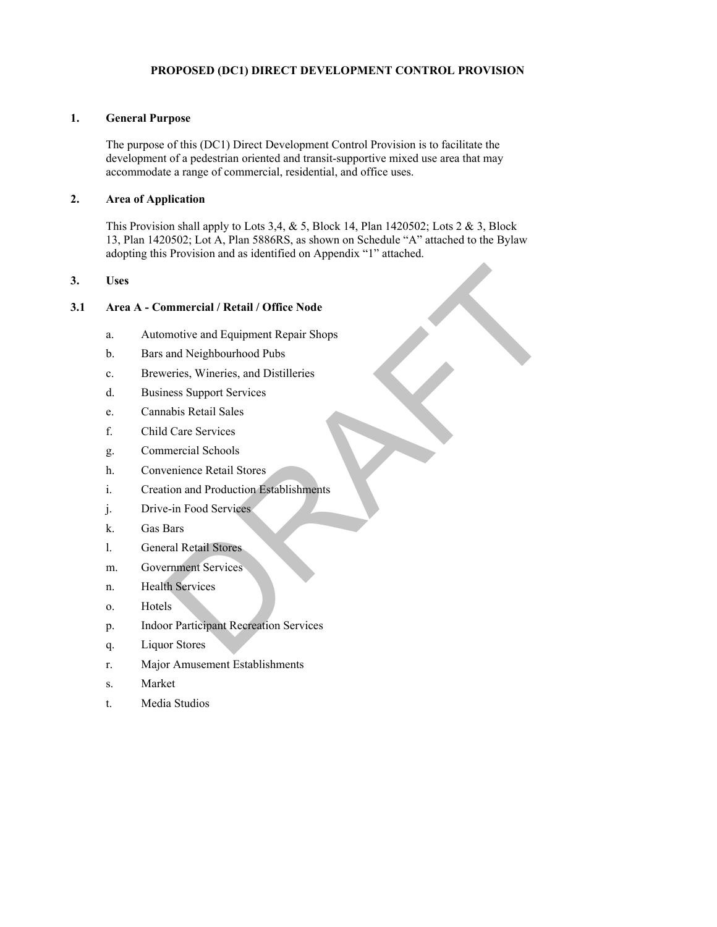# **PROPOSED (DC1) DIRECT DEVELOPMENT CONTROL PROVISION**

#### **1. General Purpose**

The purpose of this (DC1) Direct Development Control Provision is to facilitate the development of a pedestrian oriented and transit-supportive mixed use area that may accommodate a range of commercial, residential, and office uses.

## **2. Area of Application**

This Provision shall apply to Lots 3,4,  $&$  5, Block 14, Plan 1420502; Lots 2  $&$  3, Block 13, Plan 1420502; Lot A, Plan 5886RS, as shown on Schedule "A" attached to the Bylaw adopting this Provision and as identified on Appendix "1" attached.

## **3. Uses**

#### **3.1 Area A - Commercial / Retail / Office Node**

- a. Automotive and Equipment Repair Shops mmercial / Retail / Office Node<br>
motive and Equipment Repair Shops<br>
and Neighbourhood Pubs<br>
veries, Wineries, and Distilleries<br>
and Stepport Services<br>
abis Retail Sales<br>
d Care Services<br>
mercial Schools<br>
verience Retail St
- b. Bars and Neighbourhood Pubs
- c. Breweries, Wineries, and Distilleries
- d. Business Support Services
- e. Cannabis Retail Sales
- f. Child Care Services
- g. Commercial Schools
- h. Convenience Retail Stores
- i. Creation and Production Establishments
- j. Drive-in Food Services
- k. Gas Bars
- l. General Retail Stores
- m. Government Services
- n. Health Services
- o. Hotels
- p. Indoor Participant Recreation Services
- q. Liquor Stores
- r. Major Amusement Establishments
- s. Market
- t. Media Studios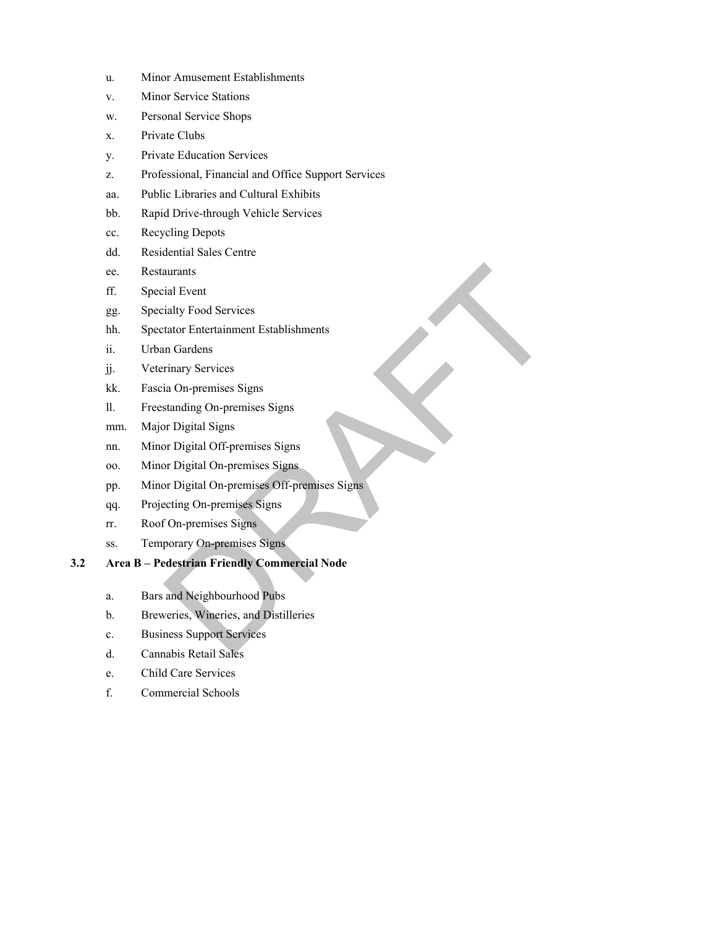- u. Minor Amusement Establishments
- v. Minor Service Stations
- w. Personal Service Shops
- x. Private Clubs
- y. Private Education Services
- z. Professional, Financial and Office Support Services
- aa. Public Libraries and Cultural Exhibits
- bb. Rapid Drive-through Vehicle Services
- cc. Recycling Depots
- dd. Residential Sales Centre
- ee. Restaurants
- ff. Special Event
- gg. Specialty Food Services
- hh. Spectator Entertainment Establishments
- ii. Urban Gardens
- jj. Veterinary Services
- kk. Fascia On-premises Signs
- ll. Freestanding On-premises Signs
- mm. Major Digital Signs
- nn. Minor Digital Off-premises Signs
- oo. Minor Digital On-premises Signs
- pp. Minor Digital On-premises Off-premises Signs aurants<br>
ial Event<br>
ialty Food Services<br>
tator Entertainment Establishments<br>
rimary Services<br>
in On-premises Signs<br>
standing On-premises Signs<br>
provided Signs<br>
Draptical Off-premises Signs<br>
propries Signs<br>
propries Signs<br>
- qq. Projecting On-premises Signs
- rr. Roof On-premises Signs
- ss. Temporary On-premises Signs
- **3.2 Area B Pedestrian Friendly Commercial Node** 
	- a. Bars and Neighbourhood Pubs
	- b. Breweries, Wineries, and Distilleries
	- c. Business Support Services
	- d. Cannabis Retail Sales
	- e. Child Care Services
	- f. Commercial Schools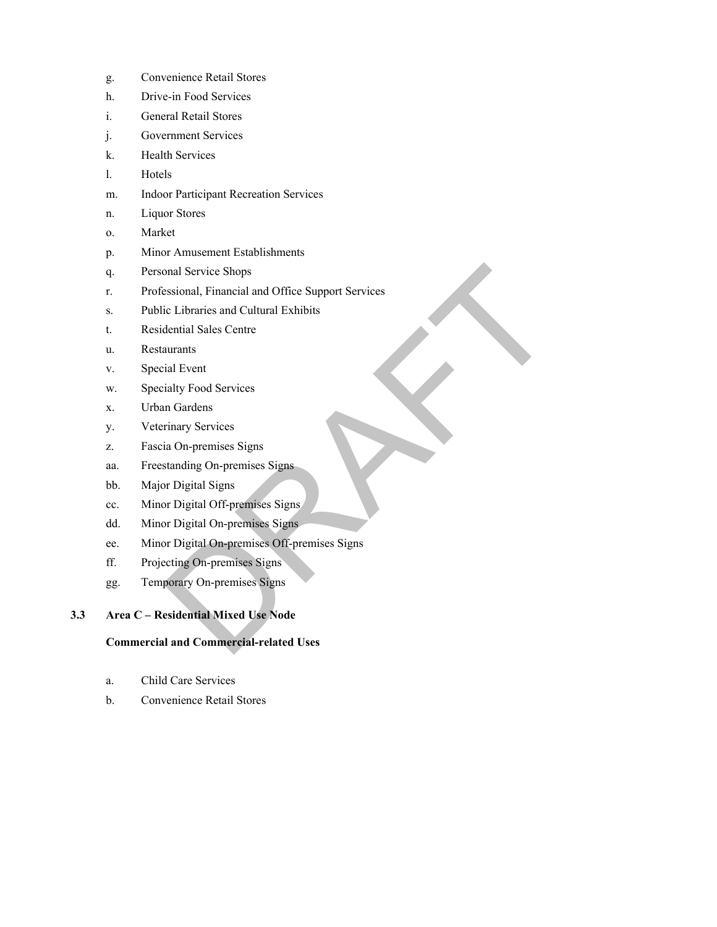- g. Convenience Retail Stores
- h. Drive-in Food Services
- i. General Retail Stores
- j. Government Services
- k. Health Services
- l. Hotels
- m. Indoor Participant Recreation Services
- n. Liquor Stores
- o. Market
- p. Minor Amusement Establishments
- q. Personal Service Shops
- r. Professional, Financial and Office Support Services onal Service Shops<br>
essional, Financial and Office Support Services<br>
ic Libraries and Cultural Exhibits<br>
dential Sales Centre<br>
ial Devri<br>
ial Lyert<br>
ial Lyert<br>
ial Ny Food Services<br>
in Gradens<br>
Finary Services<br>
is On-premi
- s. Public Libraries and Cultural Exhibits
- t. Residential Sales Centre
- u. Restaurants
- v. Special Event
- w. Specialty Food Services
- x. Urban Gardens
- y. Veterinary Services
- z. Fascia On-premises Signs
- aa. Freestanding On-premises Signs
- bb. Major Digital Signs
- cc. Minor Digital Off-premises Signs
- dd. Minor Digital On-premises Signs
- ee. Minor Digital On-premises Off-premises Signs
- ff. Projecting On-premises Signs
- gg. Temporary On-premises Signs

# **3.3 Area C – Residential Mixed Use Node**

#### **Commercial and Commercial-related Uses**

- a. Child Care Services
- b. Convenience Retail Stores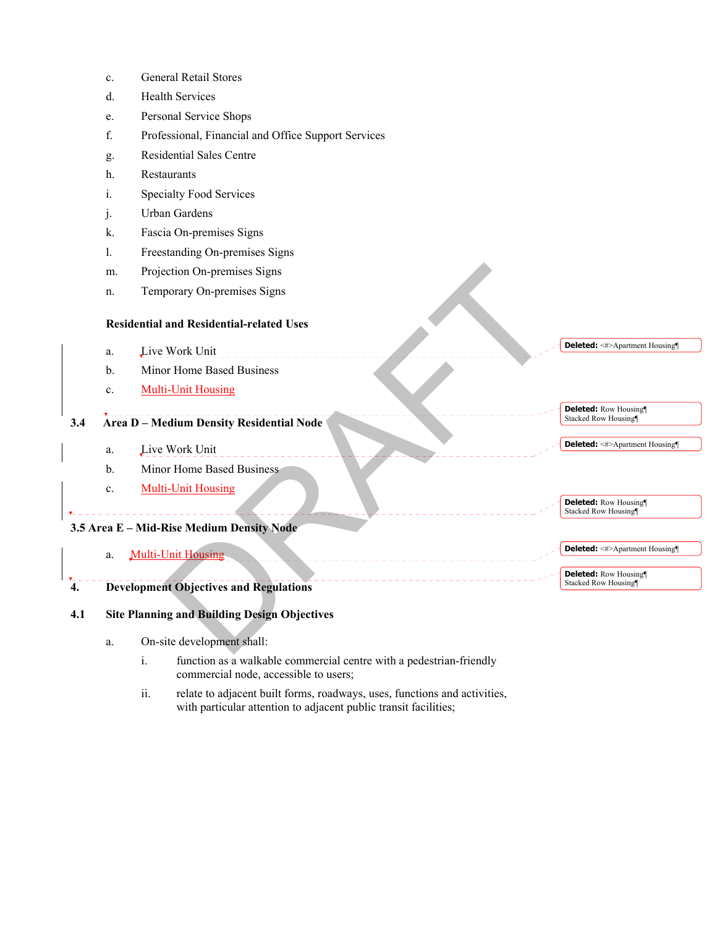|                                           | c.                                                  | <b>General Retail Stores</b>                        |                                                    |
|-------------------------------------------|-----------------------------------------------------|-----------------------------------------------------|----------------------------------------------------|
|                                           | d.                                                  | <b>Health Services</b>                              |                                                    |
|                                           | e.                                                  | Personal Service Shops                              |                                                    |
|                                           | f.                                                  | Professional, Financial and Office Support Services |                                                    |
|                                           | g.                                                  | <b>Residential Sales Centre</b>                     |                                                    |
|                                           | h.                                                  | Restaurants                                         |                                                    |
|                                           | i.                                                  | Specialty Food Services                             |                                                    |
|                                           | j.                                                  | Urban Gardens                                       |                                                    |
|                                           | k.                                                  | Fascia On-premises Signs                            |                                                    |
|                                           | 1.                                                  | Freestanding On-premises Signs                      |                                                    |
|                                           | m.                                                  | Projection On-premises Signs                        |                                                    |
|                                           | n.                                                  | Temporary On-premises Signs                         |                                                    |
|                                           | <b>Residential and Residential-related Uses</b>     |                                                     |                                                    |
|                                           | a.                                                  | Live Work Unit                                      | <b>Deleted:</b> <#>Apartment Housing¶              |
|                                           | b.                                                  | Minor Home Based Business                           |                                                    |
|                                           | c.                                                  | <b>Multi-Unit Housing</b>                           |                                                    |
|                                           |                                                     |                                                     | <b>Deleted:</b> Row Housing<br>Stacked Row Housing |
| 3.4                                       | <b>Area D - Medium Density Residential Node</b>     |                                                     |                                                    |
|                                           | a.                                                  | Live Work Unit                                      | <b>Deleted:</b> <#>Apartment Housing¶              |
|                                           | b.                                                  | Minor Home Based Business                           |                                                    |
|                                           | c.                                                  | <b>Multi-Unit Housing</b>                           |                                                    |
|                                           |                                                     |                                                     | <b>Deleted:</b> Row Housing<br>Stacked Row Housing |
| 3.5 Area E - Mid-Rise Medium Density Node |                                                     |                                                     |                                                    |
|                                           | a.                                                  | <b>Multi-Unit Housing</b>                           | <b>Deleted:</b> <#>Apartment Housing¶              |
|                                           |                                                     |                                                     | <b>Deleted:</b> Row Housing                        |
| 4.                                        |                                                     | <b>Development Objectives and Regulations</b>       | Stacked Row Housing                                |
| 4.1                                       | <b>Site Planning and Building Design Objectives</b> |                                                     |                                                    |
|                                           |                                                     |                                                     |                                                    |
|                                           | a.                                                  | On-site development shall:                          |                                                    |

- a. On-site development shall:
	- i. function as a walkable commercial centre with a pedestrian-friendly commercial node, accessible to users;
	- ii. relate to adjacent built forms, roadways, uses, functions and activities, with particular attention to adjacent public transit facilities;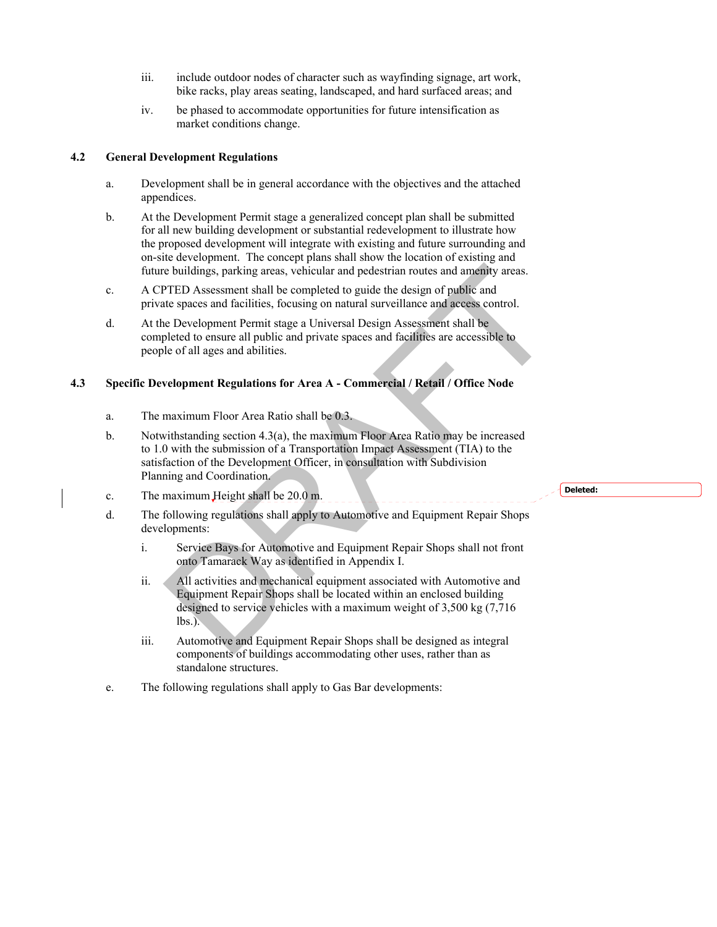- iii. include outdoor nodes of character such as wayfinding signage, art work, bike racks, play areas seating, landscaped, and hard surfaced areas; and
- iv. be phased to accommodate opportunities for future intensification as market conditions change.

#### **4.2 General Development Regulations**

- a. Development shall be in general accordance with the objectives and the attached appendices.
- b. At the Development Permit stage a generalized concept plan shall be submitted for all new building development or substantial redevelopment to illustrate how the proposed development will integrate with existing and future surrounding and on-site development. The concept plans shall show the location of existing and future buildings, parking areas, vehicular and pedestrian routes and amenity areas.
- c. A CPTED Assessment shall be completed to guide the design of public and private spaces and facilities, focusing on natural surveillance and access control.
- d. At the Development Permit stage a Universal Design Assessment shall be completed to ensure all public and private spaces and facilities are accessible to people of all ages and abilities.

## **4.3 Specific Development Regulations for Area A - Commercial / Retail / Office Node**

- a. The maximum Floor Area Ratio shall be 0.3.
- b. Notwithstanding section  $4.3(a)$ , the maximum Floor Area Ratio may be increased to 1.0 with the submission of a Transportation Impact Assessment (TIA) to the satisfaction of the Development Officer, in consultation with Subdivision Planning and Coordination.
- c. The maximum Height shall be 20.0 m.
- d. The following regulations shall apply to Automotive and Equipment Repair Shops developments:
	- i. Service Bays for Automotive and Equipment Repair Shops shall not front onto Tamarack Way as identified in Appendix I.
- ii. All activities and mechanical equipment associated with Automotive and Equipment Repair Shops shall be located within an enclosed building designed to service vehicles with a maximum weight of 3,500 kg (7,716 lbs.). e buildings, parking areas, vehicular and pedestrian routes and amendiv areas.<br>
TED Assessment shall be completed to guide the design of public and<br>
the spaces and facilities, focusing on natural surveillance and access co
	- iii. Automotive and Equipment Repair Shops shall be designed as integral components of buildings accommodating other uses, rather than as standalone structures.
- e. The following regulations shall apply to Gas Bar developments:

#### **Deleted:**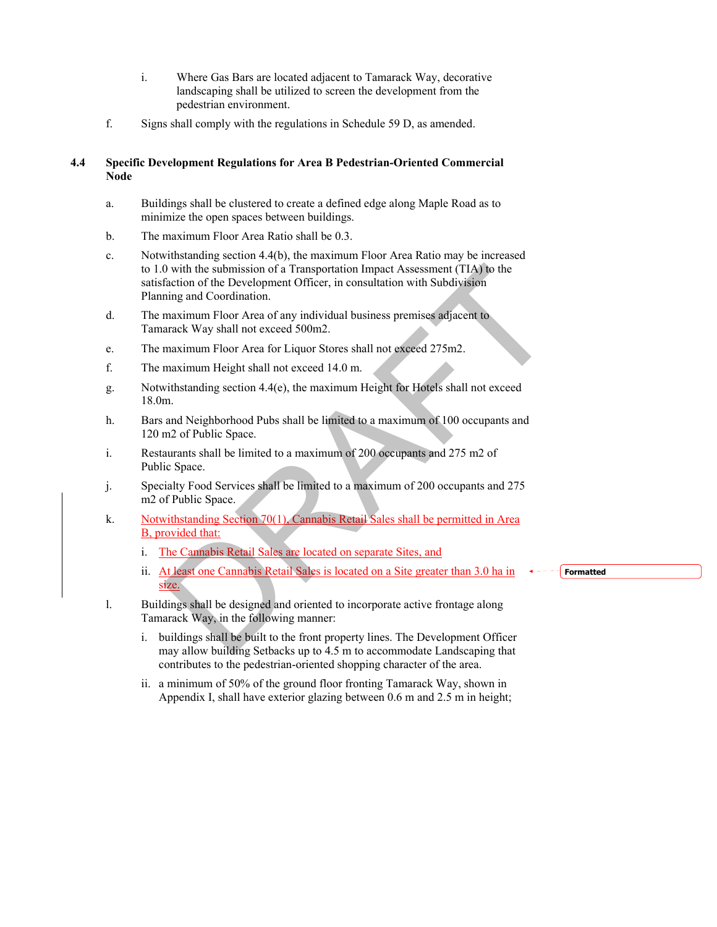- i. Where Gas Bars are located adjacent to Tamarack Way, decorative landscaping shall be utilized to screen the development from the pedestrian environment.
- f. Signs shall comply with the regulations in Schedule 59 D, as amended.

#### **4.4 Specific Development Regulations for Area B Pedestrian-Oriented Commercial Node**

- a. Buildings shall be clustered to create a defined edge along Maple Road as to minimize the open spaces between buildings.
- b. The maximum Floor Area Ratio shall be 0.3.
- c. Notwithstanding section 4.4(b), the maximum Floor Area Ratio may be increased to 1.0 with the submission of a Transportation Impact Assessment (TIA) to the satisfaction of the Development Officer, in consultation with Subdivision Planning and Coordination. 0 with the submission of a Transportation Impact Assessment (TIA) to the<br>flacton of the Development Officer, in consultation with Subdivision<br>migrand Coordination.<br>maximum Floor Area of any individual business premises adj
- d. The maximum Floor Area of any individual business premises adjacent to Tamarack Way shall not exceed 500m2.
- e. The maximum Floor Area for Liquor Stores shall not exceed 275m2.
- f. The maximum Height shall not exceed 14.0 m.
- g. Notwithstanding section 4.4(e), the maximum Height for Hotels shall not exceed 18.0m.
- h. Bars and Neighborhood Pubs shall be limited to a maximum of 100 occupants and 120 m2 of Public Space.
- i. Restaurants shall be limited to a maximum of 200 occupants and 275 m2 of Public Space.
- j. Specialty Food Services shall be limited to a maximum of 200 occupants and 275 m2 of Public Space.
- k. Notwithstanding Section 70(1), Cannabis Retail Sales shall be permitted in Area B, provided that:
	- i. The Cannabis Retail Sales are located on separate Sites, and
	- ii. At least one Cannabis Retail Sales is located on a Site greater than 3.0 ha in size.
- l. Buildings shall be designed and oriented to incorporate active frontage along Tamarack Way, in the following manner:
	- i. buildings shall be built to the front property lines. The Development Officer may allow building Setbacks up to 4.5 m to accommodate Landscaping that contributes to the pedestrian-oriented shopping character of the area.
	- ii. a minimum of 50% of the ground floor fronting Tamarack Way, shown in Appendix I, shall have exterior glazing between 0.6 m and 2.5 m in height;

**Formatted**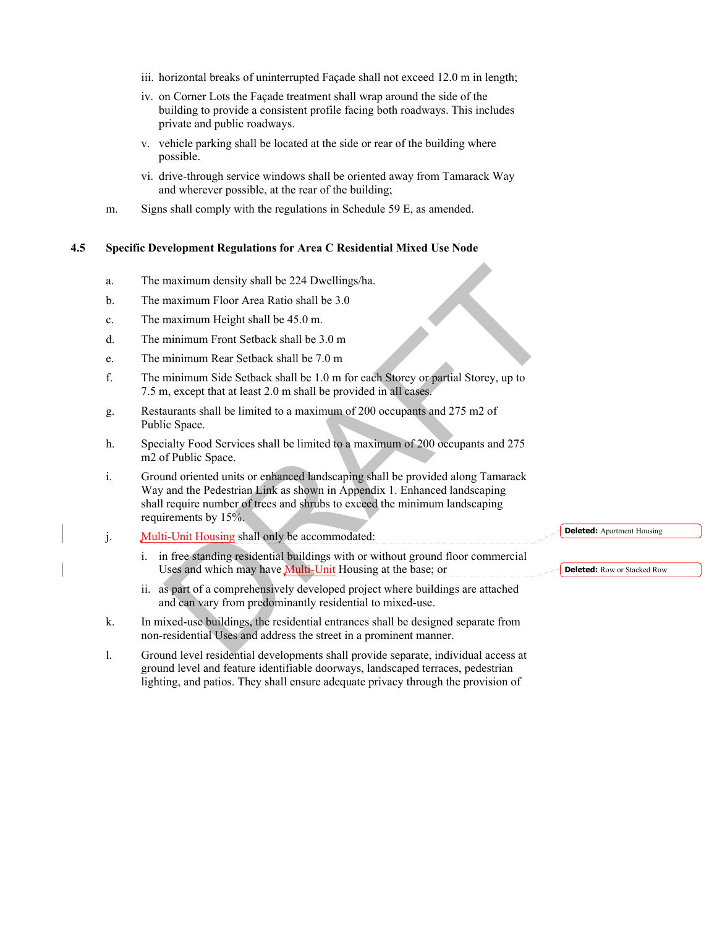- iii. horizontal breaks of uninterrupted Façade shall not exceed 12.0 m in length;
- iv. on Corner Lots the Façade treatment shall wrap around the side of the building to provide a consistent profile facing both roadways. This includes private and public roadways.
- v. vehicle parking shall be located at the side or rear of the building where possible.
- vi. drive-through service windows shall be oriented away from Tamarack Way and wherever possible, at the rear of the building;
- m. Signs shall comply with the regulations in Schedule 59 E, as amended.

#### **4.5 Specific Development Regulations for Area C Residential Mixed Use Node**

- a. The maximum density shall be 224 Dwellings/ha.
- b. The maximum Floor Area Ratio shall be 3.0
- c. The maximum Height shall be 45.0 m.
- d. The minimum Front Setback shall be 3.0 m
- e. The minimum Rear Setback shall be 7.0 m
- f. The minimum Side Setback shall be 1.0 m for each Storey or partial Storey, up to 7.5 m, except that at least 2.0 m shall be provided in all cases.
- g. Restaurants shall be limited to a maximum of 200 occupants and 275 m2 of Public Space.
- h. Specialty Food Services shall be limited to a maximum of 200 occupants and 275 m2 of Public Space.
- i. Ground oriented units or enhanced landscaping shall be provided along Tamarack Way and the Pedestrian Link as shown in Appendix 1. Enhanced landscaping shall require number of trees and shrubs to exceed the minimum landscaping requirements by 15%. maximum density shall be 224 Dwellings/ha.<br>
maximum Floor Area Ratio shall be 3.0<br>
maximum Height shall be 45.0 m.<br>
minimum Front Setback shall be 3.0 m<br>
minimum Rear Setback shall be 3.0 m<br>
minimum Side Setback shall be 1
- j. Multi-Unit Housing shall only be accommodated:
	- i. in free standing residential buildings with or without ground floor commercial Uses and which may have **Multi-Unit** Housing at the base; or
	- ii. as part of a comprehensively developed project where buildings are attached and can vary from predominantly residential to mixed-use.
- k. In mixed-use buildings, the residential entrances shall be designed separate from non-residential Uses and address the street in a prominent manner.
- l. Ground level residential developments shall provide separate, individual access at ground level and feature identifiable doorways, landscaped terraces, pedestrian lighting, and patios. They shall ensure adequate privacy through the provision of

**Deleted:** Apartment Housing

**Deleted:** Row or Stacked Row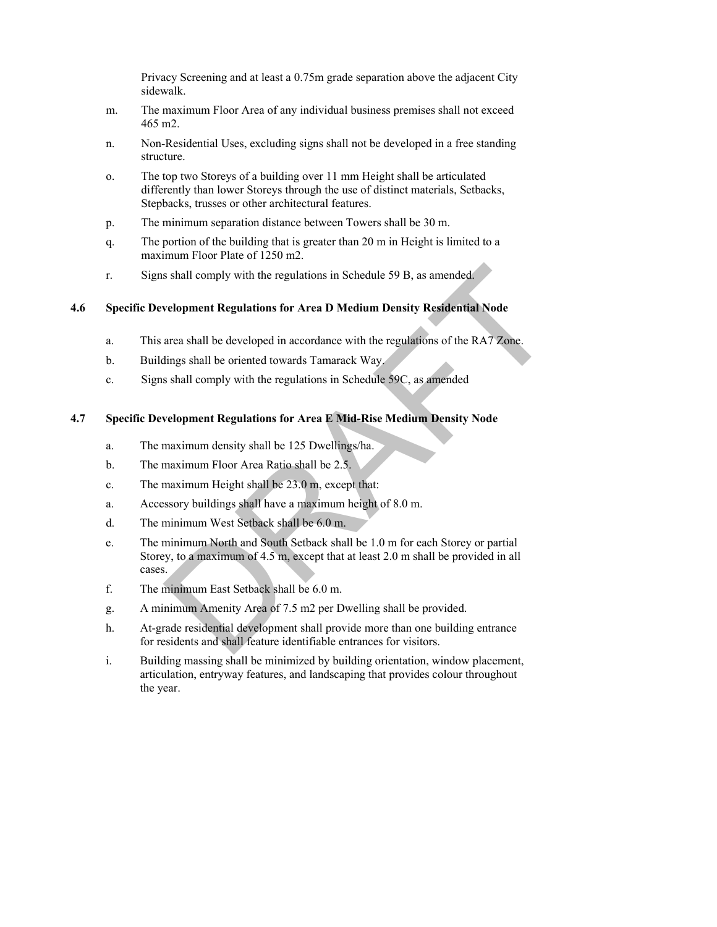Privacy Screening and at least a 0.75m grade separation above the adjacent City sidewalk.

- m. The maximum Floor Area of any individual business premises shall not exceed 465 m2.
- n. Non-Residential Uses, excluding signs shall not be developed in a free standing structure.
- o. The top two Storeys of a building over 11 mm Height shall be articulated differently than lower Storeys through the use of distinct materials, Setbacks, Stepbacks, trusses or other architectural features.
- p. The minimum separation distance between Towers shall be 30 m.
- q. The portion of the building that is greater than 20 m in Height is limited to a maximum Floor Plate of 1250 m2.
- r. Signs shall comply with the regulations in Schedule 59 B, as amended.

## **4.6 Specific Development Regulations for Area D Medium Density Residential Node**

- a. This area shall be developed in accordance with the regulations of the RA7 Zone.
- b. Buildings shall be oriented towards Tamarack Way.
- c. Signs shall comply with the regulations in Schedule 59C, as amended

#### **4.7 Specific Development Regulations for Area E Mid-Rise Medium Density Node**

- a. The maximum density shall be 125 Dwellings/ha.
- b. The maximum Floor Area Ratio shall be 2.5.
- c. The maximum Height shall be 23.0 m, except that:
- a. Accessory buildings shall have a maximum height of 8.0 m.
- d. The minimum West Setback shall be 6.0 m.
- e. The minimum North and South Setback shall be 1.0 m for each Storey or partial Storey, to a maximum of 4.5 m, except that at least 2.0 m shall be provided in all cases. s shall comply with the regulations in Schedule 59 B, as amended.<br>
velopment Regulations for Area D Medium Density Residential Node<br>
area shall be developed in accordance with the regulations of the RA7 Zone.<br>
dings shall
- f. The minimum East Setback shall be 6.0 m.
- g. A minimum Amenity Area of 7.5 m2 per Dwelling shall be provided.
- h. At-grade residential development shall provide more than one building entrance for residents and shall feature identifiable entrances for visitors.
- i. Building massing shall be minimized by building orientation, window placement, articulation, entryway features, and landscaping that provides colour throughout the year.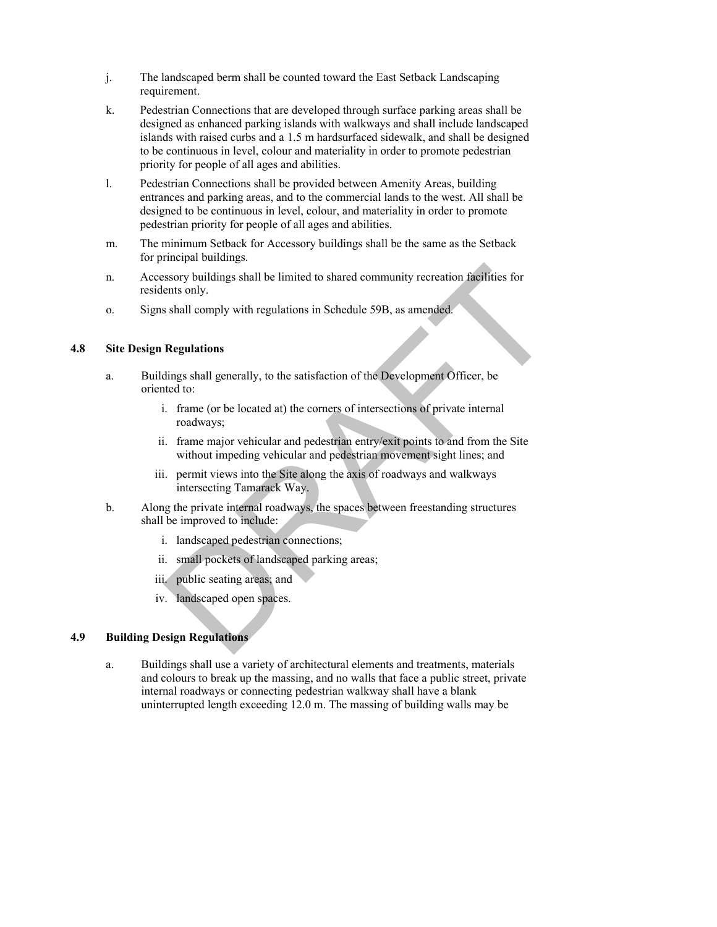- j. The landscaped berm shall be counted toward the East Setback Landscaping requirement.
- k. Pedestrian Connections that are developed through surface parking areas shall be designed as enhanced parking islands with walkways and shall include landscaped islands with raised curbs and a 1.5 m hardsurfaced sidewalk, and shall be designed to be continuous in level, colour and materiality in order to promote pedestrian priority for people of all ages and abilities.
- l. Pedestrian Connections shall be provided between Amenity Areas, building entrances and parking areas, and to the commercial lands to the west. All shall be designed to be continuous in level, colour, and materiality in order to promote pedestrian priority for people of all ages and abilities.
- m. The minimum Setback for Accessory buildings shall be the same as the Setback for principal buildings.
- n. Accessory buildings shall be limited to shared community recreation facilities for residents only.
- o. Signs shall comply with regulations in Schedule 59B, as amended.

## **4.8 Site Design Regulations**

- a. Buildings shall generally, to the satisfaction of the Development Officer, be oriented to:
	- i. frame (or be located at) the corners of intersections of private internal roadways;
- ii. frame major vehicular and pedestrian entry/exit points to and from the Site without impeding vehicular and pedestrian movement sight lines; and ssory buildings shall be limited to shared community recreation facilities for<br>ents only.<br>Shall comply with regulations in Schedule 59B, as amended.<br>Regulations<br>Regulations<br>all generally, to the satisfaction of the Develop
	- iii. permit views into the Site along the axis of roadways and walkways intersecting Tamarack Way.
- b. Along the private internal roadways, the spaces between freestanding structures shall be improved to include:
	- i. landscaped pedestrian connections;
	- ii. small pockets of landscaped parking areas;
	- iii. public seating areas; and
	- iv. landscaped open spaces.

# **4.9 Building Design Regulations**

a. Buildings shall use a variety of architectural elements and treatments, materials and colours to break up the massing, and no walls that face a public street, private internal roadways or connecting pedestrian walkway shall have a blank uninterrupted length exceeding 12 .0 m. The massing of building walls may be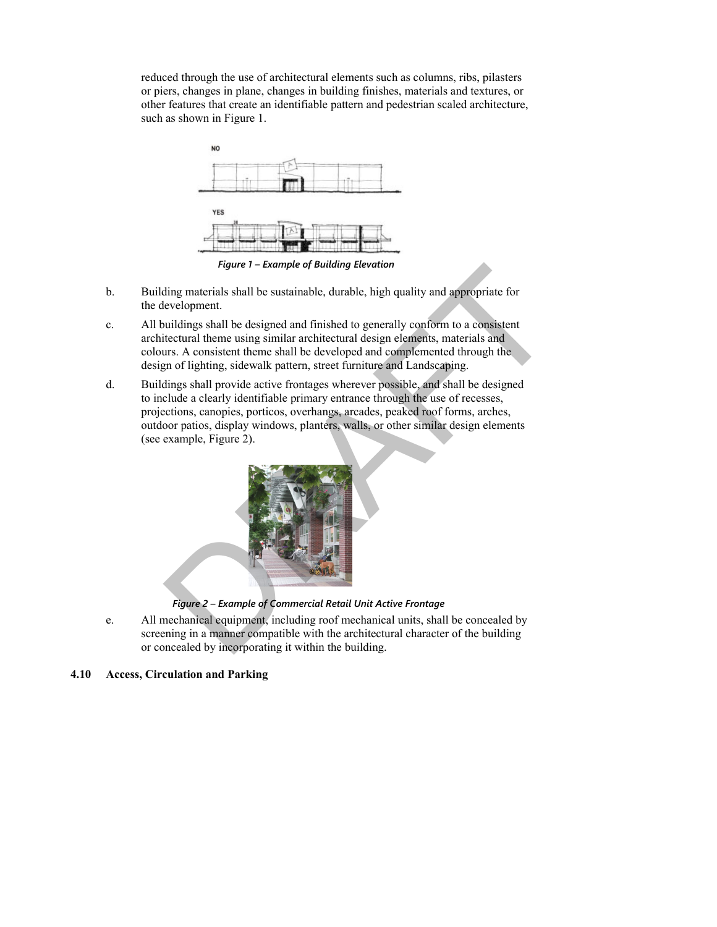reduced through the use of architectural elements such as columns, ribs, pilasters or piers, changes in plane, changes in building finishes, materials and textures, or other features that create an identifiable pattern and pedestrian scaled architecture, such as shown in Figure 1.



*Figure 1 – Example of Building Elevation* 

- b. Building materials shall be sustainable, durable, high quality and appropriate for the development.
- c. All buildings shall be designed and finished to generally conform to a consistent architectural theme using similar architectural design elements, materials and colours. A consistent theme shall be developed and complemented through the design of lighting, sidewalk pattern, street furniture and Landscaping.
- d. Buildings shall provide active frontages wherever possible, and shall be designed to include a clearly identifiable primary entrance through the use of recesses, projections, canopies, porticos, overhangs, arcades, peaked roof forms, arches, outdoor patios, display windows, planters, walls, or other similar design elements (see example, Figure 2). *Figure 1 – Example of Butdang Elevation*<br>
Evelopment:<br>
Figure dispersion and finished to generally conform to a consistent<br>
invidings shall be designed and finished to generally conform to a consistent<br>
itectural theme us



e. All mechanical equipment, including roof mechanical units, shall be concealed by screening in a manner compatible with the architectural character of the building or concealed by incorporating it within the building.

#### **4.10 Access, Circulation and Parking**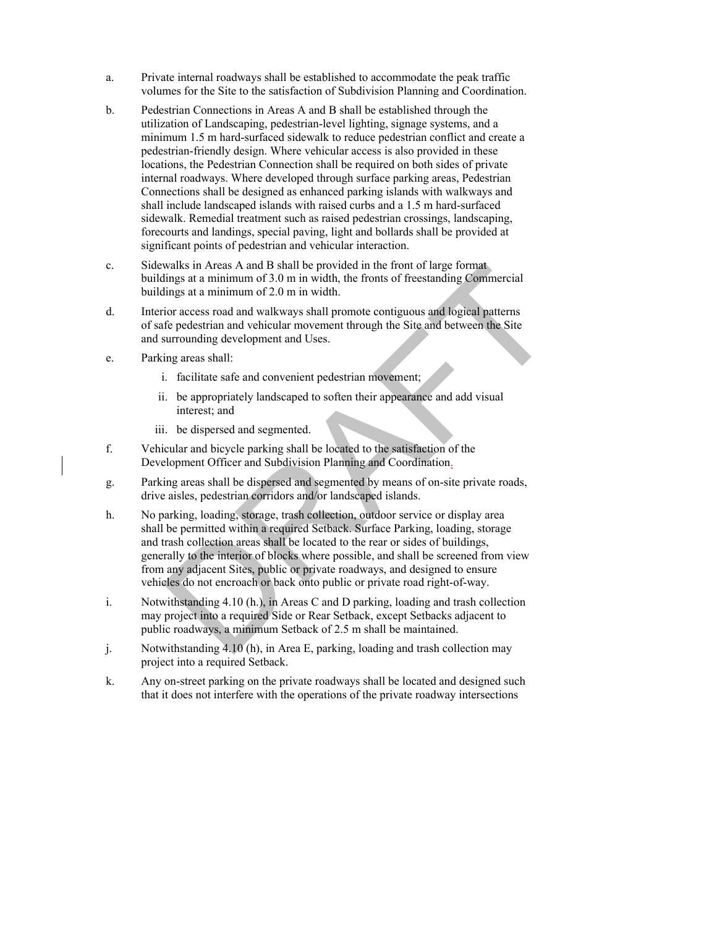- a. Private internal roadways shall be established to accommodate the peak traffic volumes for the Site to the satisfaction of Subdivision Planning and Coordination.
- b. Pedestrian Connections in Areas A and B shall be established through the utilization of Landscaping, pedestrian-level lighting, signage systems, and a minimum 1.5 m hard-surfaced sidewalk to reduce pedestrian conflict and create a pedestrian-friendly design. Where vehicular access is also provided in these locations, the Pedestrian Connection shall be required on both sides of private internal roadways. Where developed through surface parking areas, Pedestrian Connections shall be designed as enhanced parking islands with walkways and shall include landscaped islands with raised curbs and a 1.5 m hard-surfaced sidewalk. Remedial treatment such as raised pedestrian crossings, landscaping, forecourts and landings, special paving, light and bollards shall be provided at significant points of pedestrian and vehicular interaction.
- c. Sidewalks in Areas A and B shall be provided in the front of large format buildings at a minimum of 3.0 m in width, the fronts of freestanding Commercial buildings at a minimum of 2.0 m in width.
- d. Interior access road and walkways shall promote contiguous and logical patterns of safe pedestrian and vehicular movement through the Site and between the Site and surrounding development and Uses.
- e. Parking areas shall:
	- i. facilitate safe and convenient pedestrian movement;
	- ii. be appropriately landscaped to soften their appearance and add visual interest; and
	- iii. be dispersed and segmented.
- f. Vehicular and bicycle parking shall be located to the satisfaction of the Development Officer and Subdivision Planning and Coordination.
- g. Parking areas shall be dispersed and segmented by means of on-site private roads, drive aisles, pedestrian corridors and/or landscaped islands.
- h. No parking, loading, storage, trash collection, outdoor service or display area shall be permitted within a required Setback. Surface Parking, loading, storage and trash collection areas shall be located to the rear or sides of buildings, generally to the interior of blocks where possible, and shall be screened from view from any adjacent Sites, public or private roadways, and designed to ensure vehicles do not encroach or back onto public or private road right-of-way. walks in Areas A and B shall be provided in the fronto large format<br>
lings at a minimum of 3.0 m in width.<br>
the fronts of freestanding Commercial<br>
tings at a minimum of 2.0 m in width.<br>
Fronts conditing the fronts of frees
- i. Notwithstanding 4.10 (h.), in Areas C and D parking, loading and trash collection may project into a required Side or Rear Setback, except Setbacks adjacent to public roadways, a minimum Setback of 2.5 m shall be maintained.
- j. Notwithstanding 4.10 (h), in Area E, parking, loading and trash collection may project into a required Setback.
- k. Any on-street parking on the private roadways shall be located and designed such that it does not interfere with the operations of the private r oadway intersections